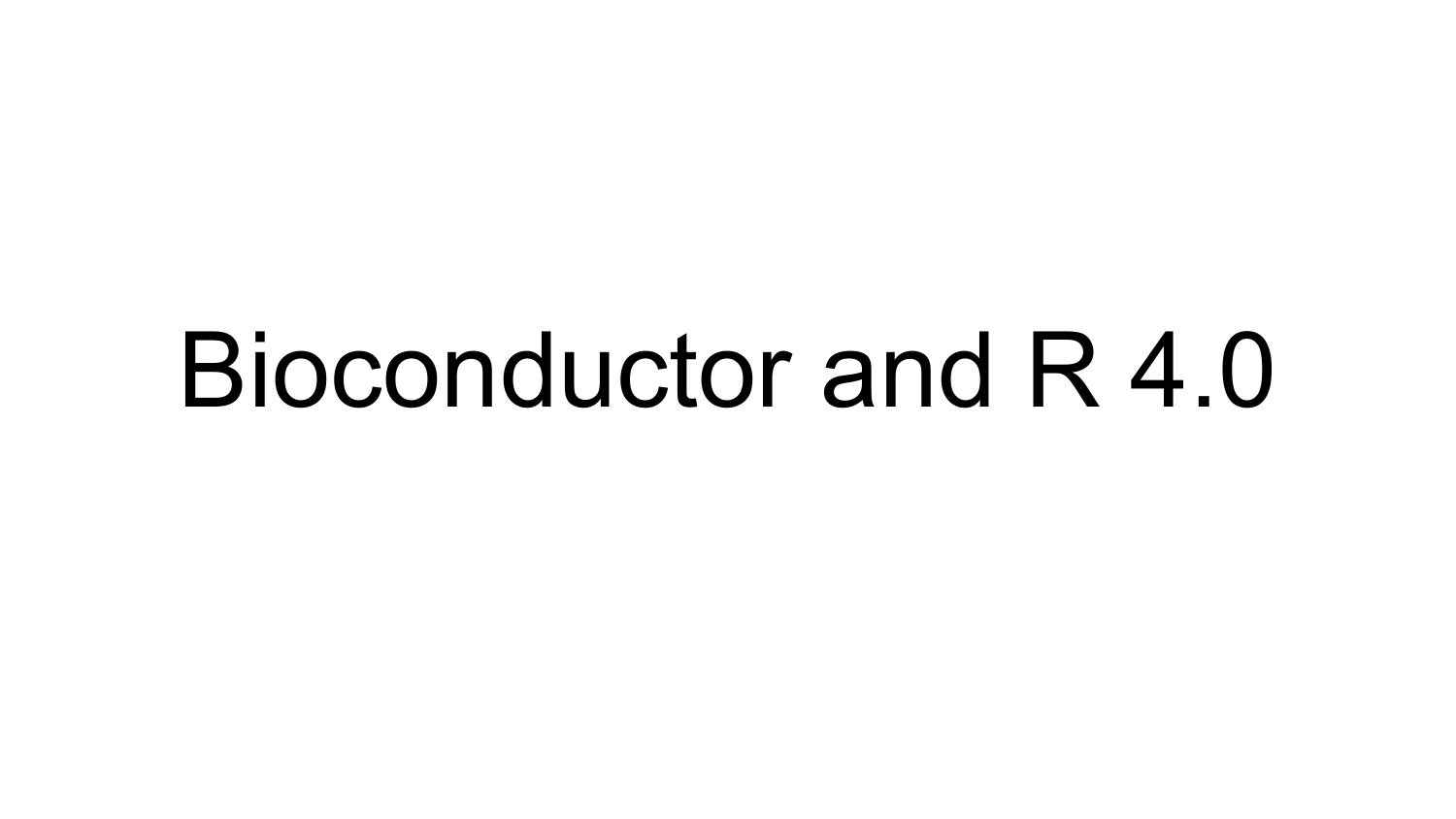# Bioconductor and R 4.0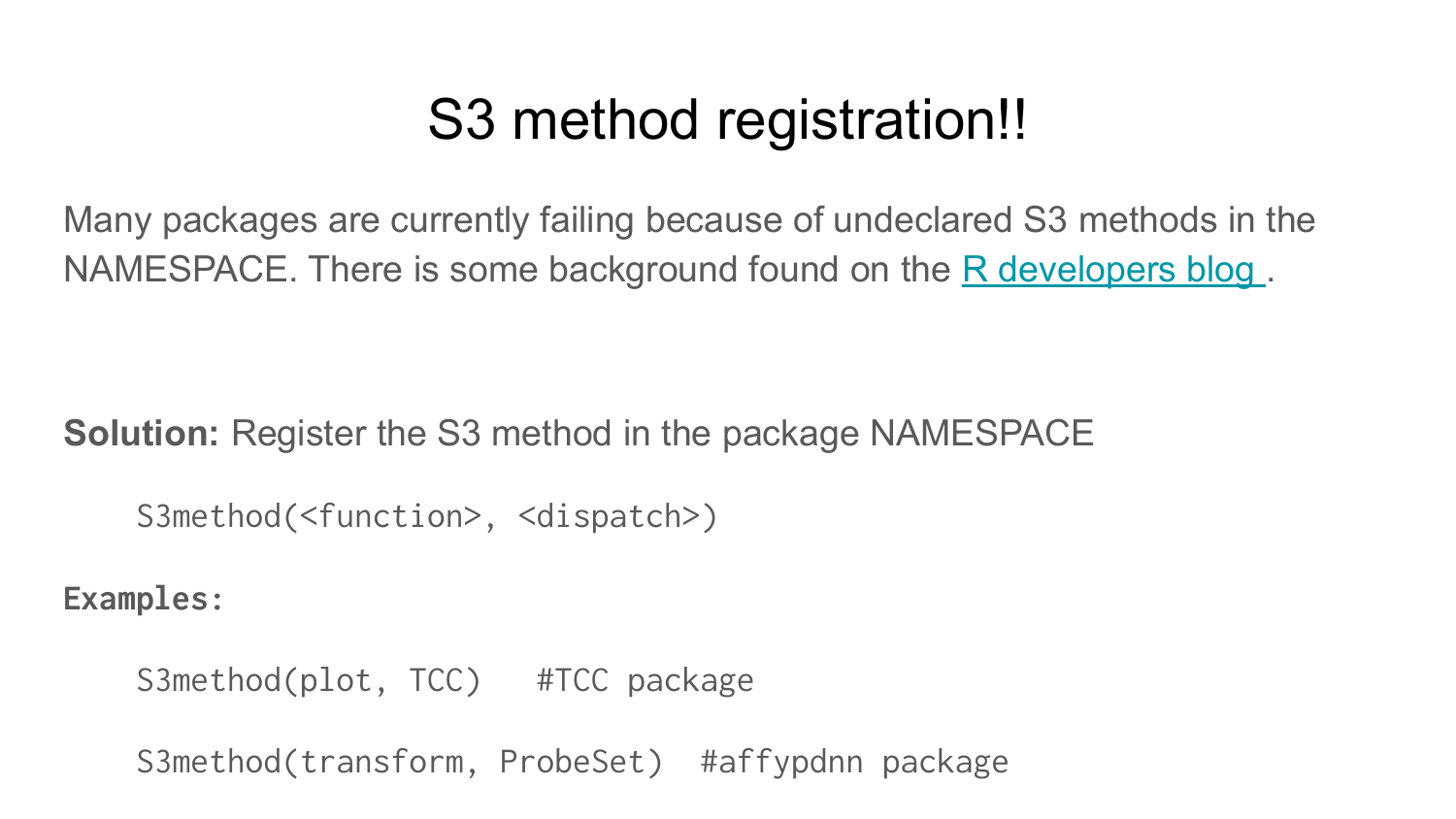## S3 method registration!!

Many packages are currently failing because of undeclared S3 methods in the NAMESPACE. There is some background found on the R developers blog.

**Solution:** Register the S3 method in the package NAMESPACE

S3method(<function>, <dispatch>)

**Examples:**

S3method(plot, TCC) #TCC package

S3method(transform, ProbeSet) #affypdnn package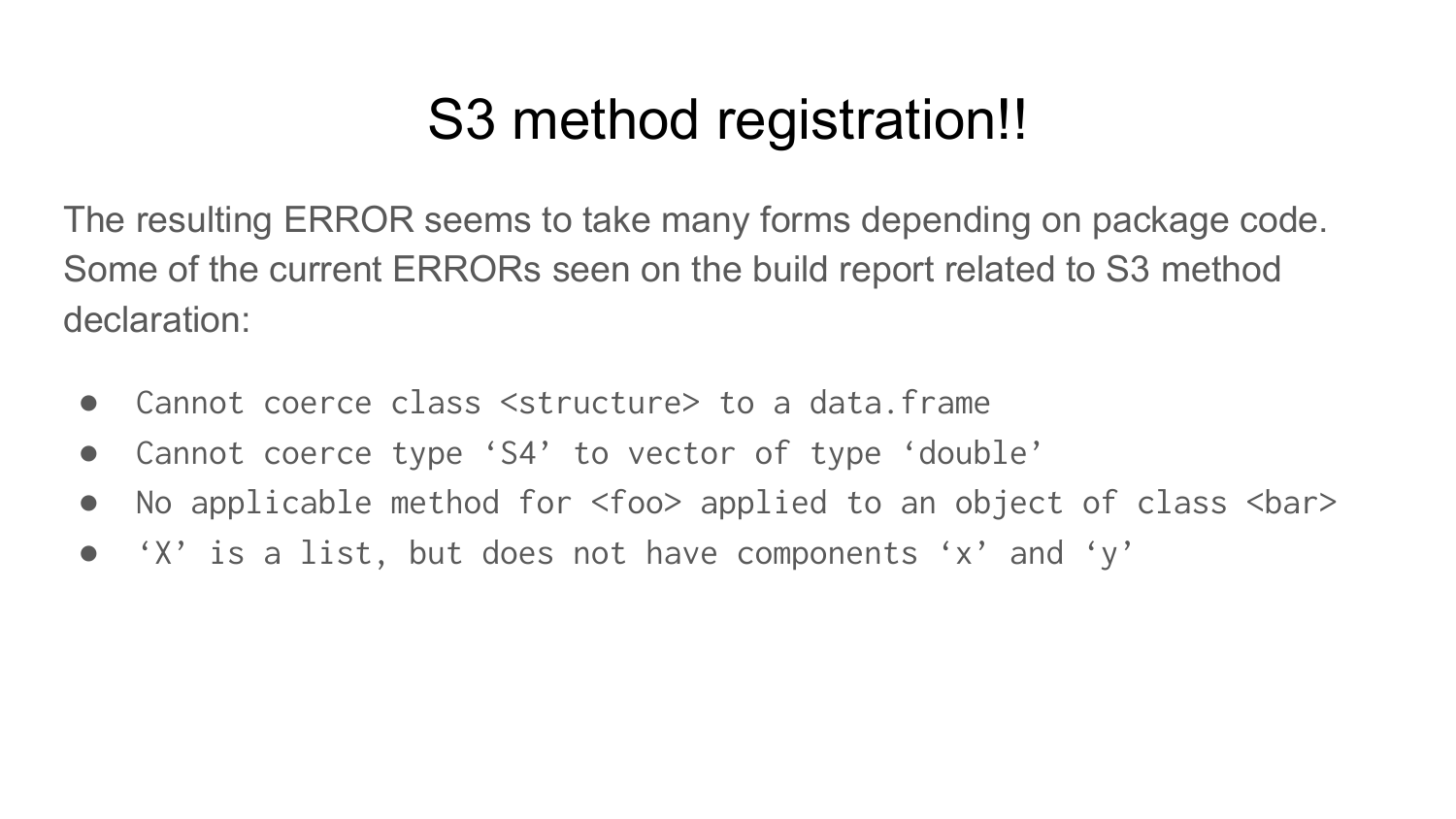## S3 method registration!!

The resulting ERROR seems to take many forms depending on package code. Some of the current ERRORs seen on the build report related to S3 method declaration:

- Cannot coerce class <structure> to a data.frame
- Cannot coerce type 'S4' to vector of type 'double'
- No applicable method for <foo> applied to an object of class <bar>
- 'X' is a list, but does not have components 'x' and 'y'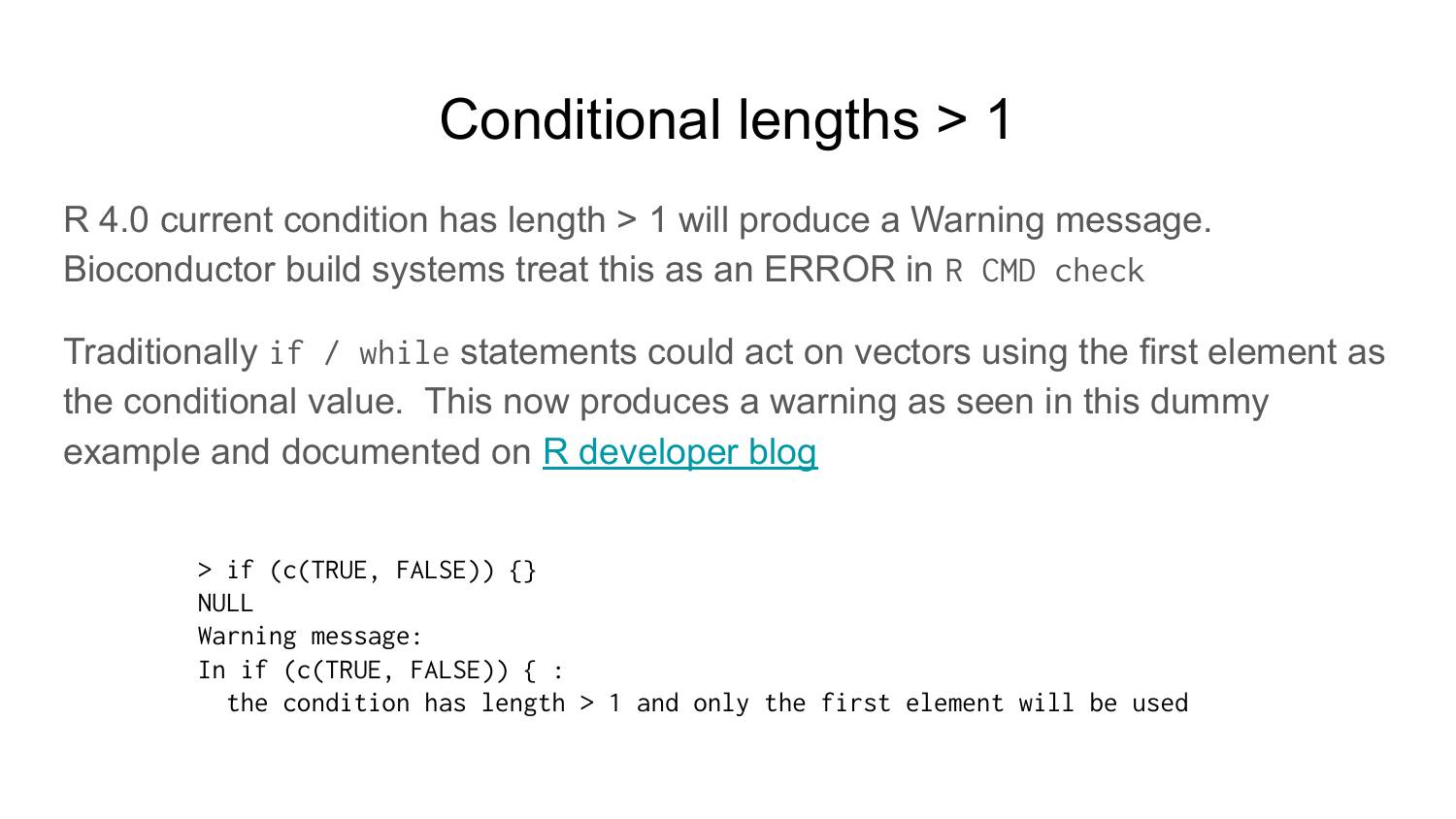#### Conditional lengths > 1

R 4.0 current condition has length > 1 will produce a Warning message. Bioconductor build systems treat this as an ERROR in R CMD check

Traditionally if / while statements could act on vectors using the first element as the conditional value. This now produces a warning as seen in this dummy example and documented on [R developer blog](https://developer.r-project.org/Blog/public/2018/10/12/conditions-of-length-greater-than-one/index.html)

```
> if (c(TRUE, FALSE)) {}
NULL
Warning message:
In if (c(TRUE, FALSE)) { :
  the condition has length > 1 and only the first element will be used
```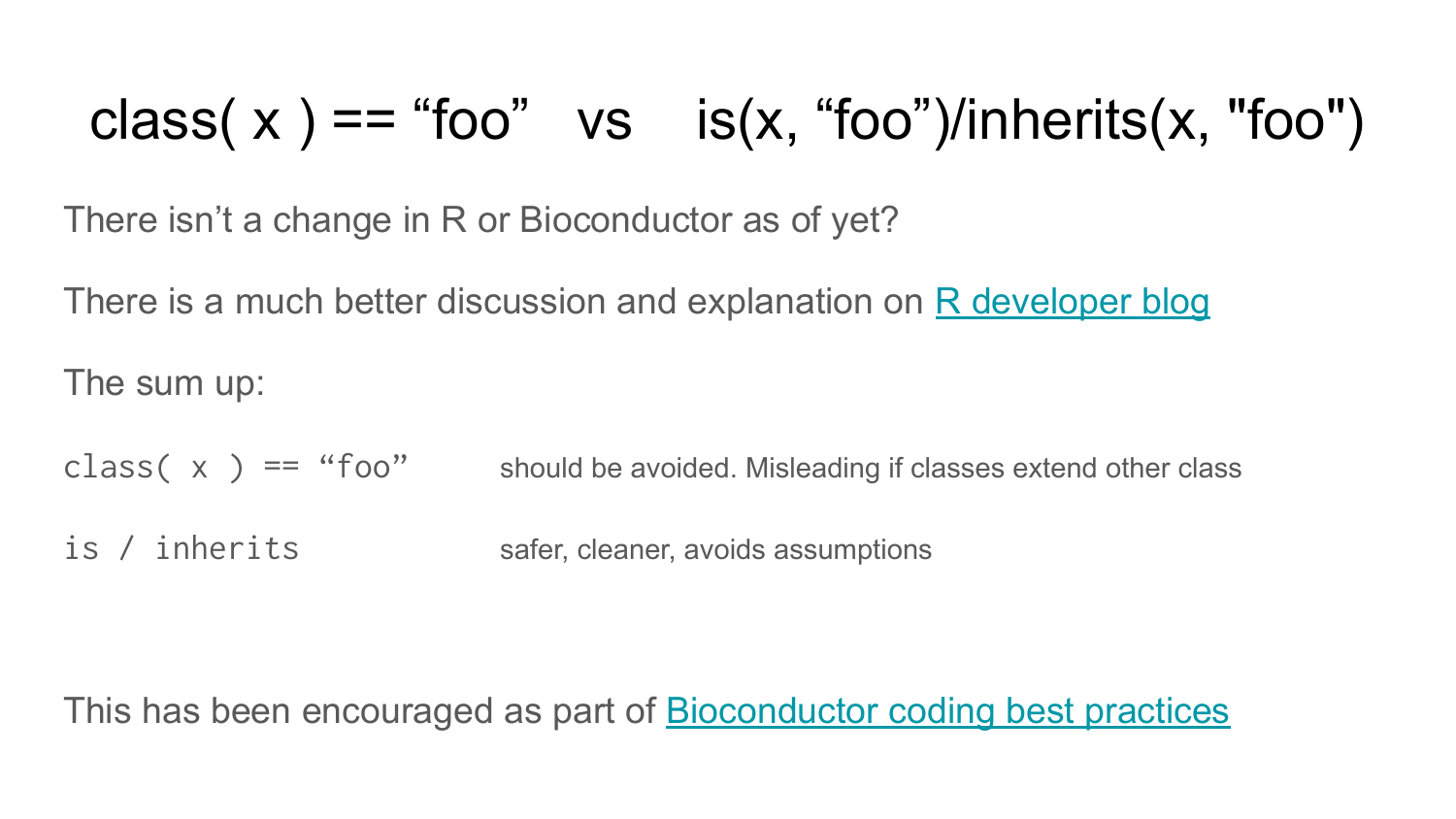# class(  $x$  ) == "foo" vs is( $x$ , "foo")/inherits( $x$ , "foo")

There isn't a change in R or Bioconductor as of yet?

There is a much better discussion and explanation on [R developer blog](https://developer.r-project.org/Blog/public/2019/11/09/when-you-think-class.-think-again/index.html)

The sum up:

class( $x$ ) == "foo" should be avoided. Misleading if classes extend other class

is / inherits safer, cleaner, avoids assumptions

This has been encouraged as part of [Bioconductor coding best practices](https://bioconductor.org/developers/package-guidelines/#rcode)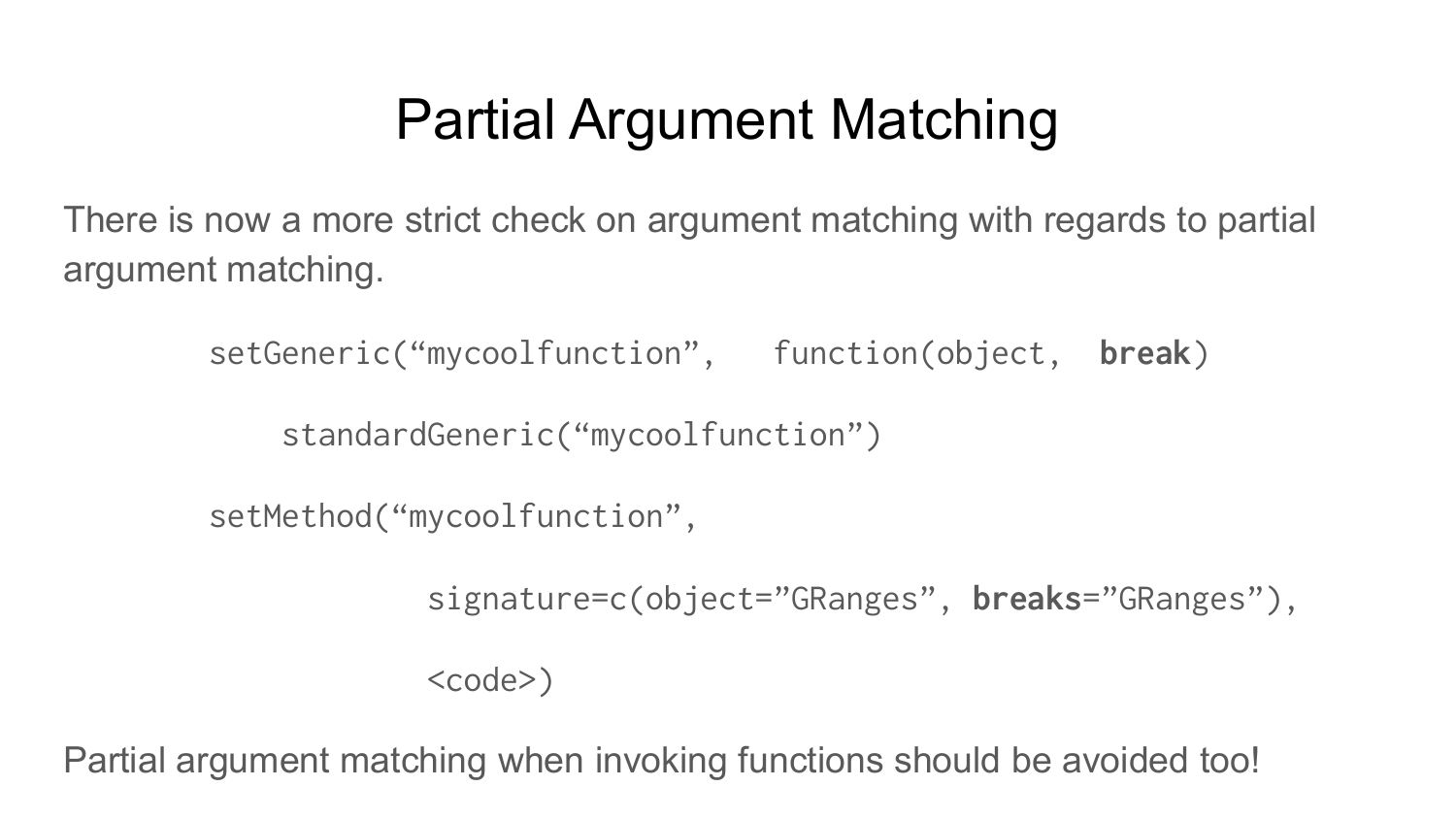# Partial Argument Matching

There is now a more strict check on argument matching with regards to partial argument matching.

setGeneric("mycoolfunction", function(object, **break**)

standardGeneric("mycoolfunction")

setMethod("mycoolfunction",

signature=c(object="GRanges", **breaks**="GRanges"),

 $<$ code>)</code>

Partial argument matching when invoking functions should be avoided too!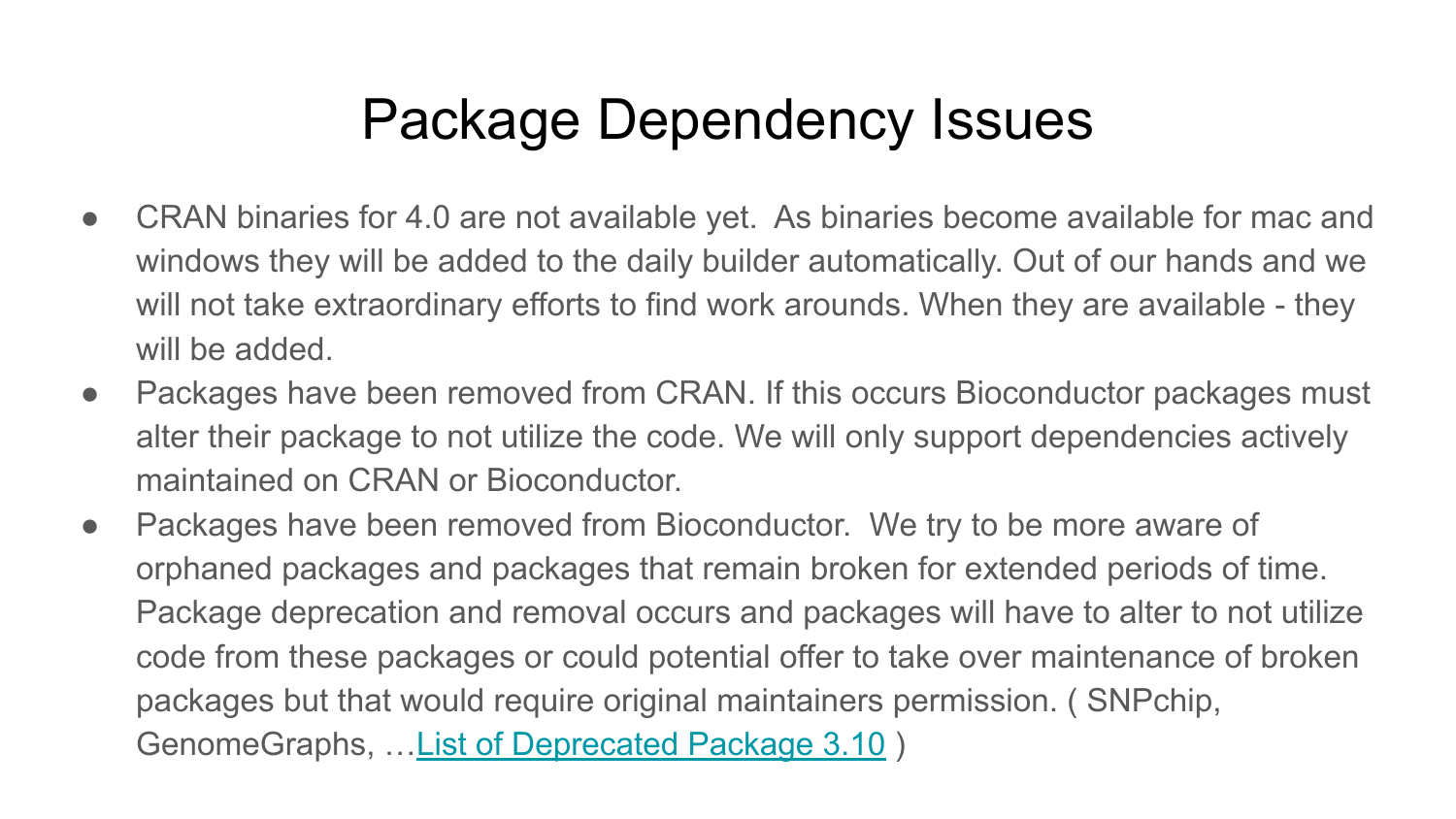## Package Dependency Issues

- CRAN binaries for 4.0 are not available yet. As binaries become available for mac and windows they will be added to the daily builder automatically. Out of our hands and we will not take extraordinary efforts to find work arounds. When they are available - they will be added.
- Packages have been removed from CRAN. If this occurs Bioconductor packages must alter their package to not utilize the code. We will only support dependencies actively maintained on CRAN or Bioconductor.
- Packages have been removed from Bioconductor. We try to be more aware of orphaned packages and packages that remain broken for extended periods of time. Package deprecation and removal occurs and packages will have to alter to not utilize code from these packages or could potential offer to take over maintenance of broken packages but that would require original maintainers permission. ( SNPchip, GenomeGraphs, …[List of Deprecated Package 3.10](https://support.bioconductor.org/p/125352/) )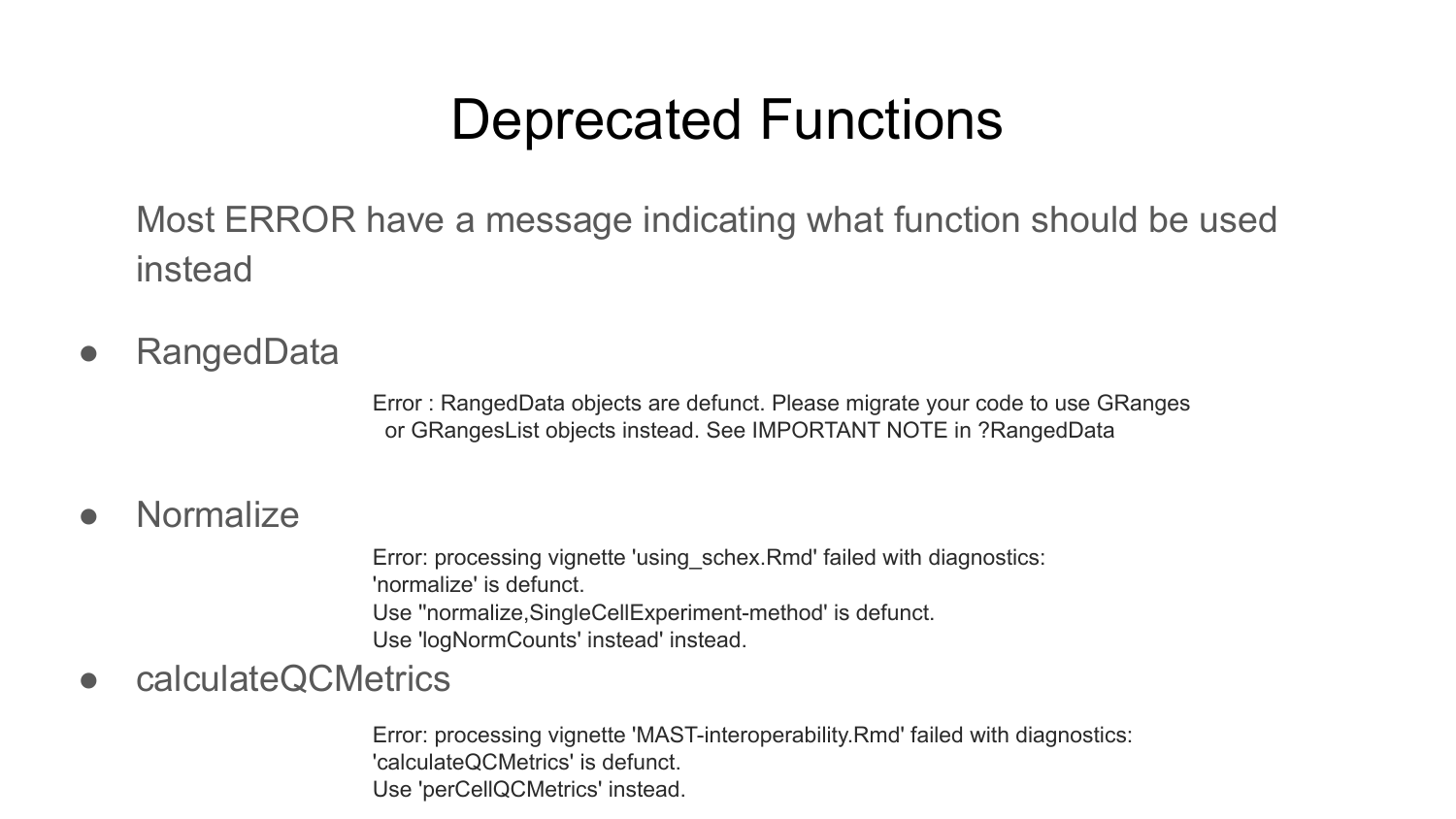#### Deprecated Functions

Most ERROR have a message indicating what function should be used instead

● RangedData

Error : RangedData objects are defunct. Please migrate your code to use GRanges or GRangesList objects instead. See IMPORTANT NOTE in ?RangedData

#### ● Normalize

Error: processing vignette 'using\_schex.Rmd' failed with diagnostics: 'normalize' is defunct. Use ''normalize,SingleCellExperiment-method' is defunct. Use 'logNormCounts' instead' instead.

● calculateQCMetrics

Error: processing vignette 'MAST-interoperability.Rmd' failed with diagnostics: 'calculateQCMetrics' is defunct. Use 'perCellQCMetrics' instead.